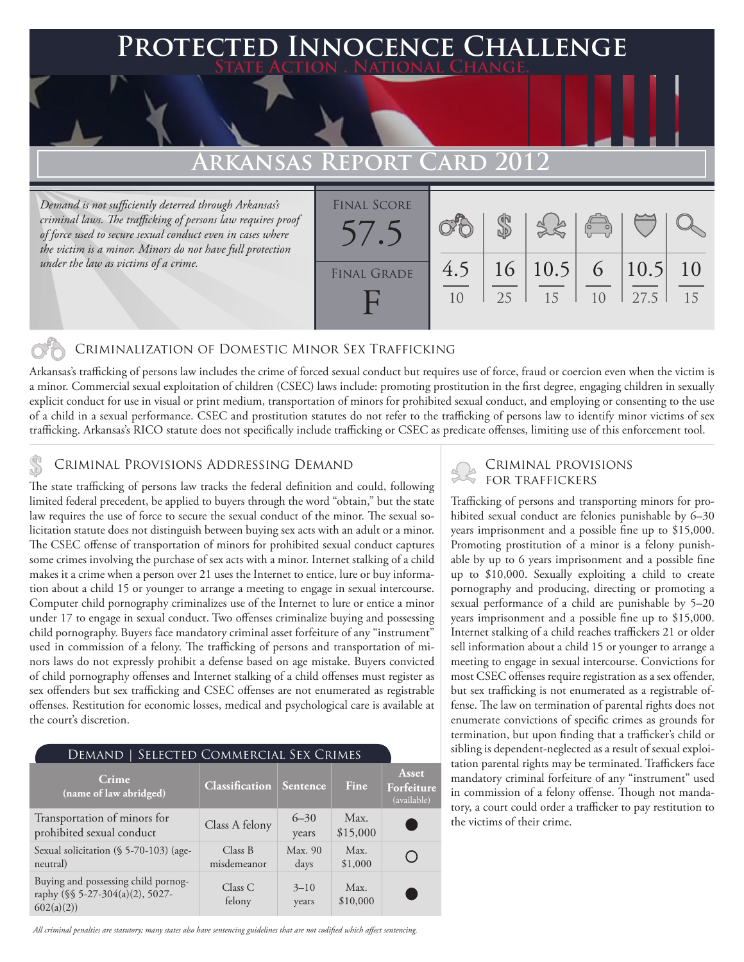### **PTED INNOCENCE CHALLENGE State Action . National Change.**

## **Arkansas Report Card 2012**

*Demand is not sufficiently deterred through Arkansas's criminal laws. The trafficking of persons law requires proof of force used to secure sexual conduct even in cases where the victim is a minor. Minors do not have full protection under the law as victims of a crime.*



### Criminalization of Domestic Minor Sex Trafficking

Arkansas's trafficking of persons law includes the crime of forced sexual conduct but requires use of force, fraud or coercion even when the victim is a minor. Commercial sexual exploitation of children (CSEC) laws include: promoting prostitution in the first degree, engaging children in sexually explicit conduct for use in visual or print medium, transportation of minors for prohibited sexual conduct, and employing or consenting to the use of a child in a sexual performance. CSEC and prostitution statutes do not refer to the trafficking of persons law to identify minor victims of sex trafficking. Arkansas's RICO statute does not specifically include trafficking or CSEC as predicate offenses, limiting use of this enforcement tool.

# CRIMINAL PROVISIONS ADDRESSING DEMAND<br>The state trafficking of porcess law tracks the foloral definition and could following FOR TRAFFICKERS

The state trafficking of persons law tracks the federal definition and could, following limited federal precedent, be applied to buyers through the word "obtain," but the state law requires the use of force to secure the sexual conduct of the minor. The sexual solicitation statute does not distinguish between buying sex acts with an adult or a minor. The CSEC offense of transportation of minors for prohibited sexual conduct captures some crimes involving the purchase of sex acts with a minor. Internet stalking of a child makes it a crime when a person over 21 uses the Internet to entice, lure or buy information about a child 15 or younger to arrange a meeting to engage in sexual intercourse. Computer child pornography criminalizes use of the Internet to lure or entice a minor under 17 to engage in sexual conduct. Two offenses criminalize buying and possessing child pornography. Buyers face mandatory criminal asset forfeiture of any "instrument" used in commission of a felony. The trafficking of persons and transportation of minors laws do not expressly prohibit a defense based on age mistake. Buyers convicted of child pornography offenses and Internet stalking of a child offenses must register as sex offenders but sex trafficking and CSEC offenses are not enumerated as registrable offenses. Restitution for economic losses, medical and psychological care is available at the court's discretion.

| SELECTED COMMERCIAL SEX CRIMES<br>Demand                                            |                        |                   |                  |                                           |
|-------------------------------------------------------------------------------------|------------------------|-------------------|------------------|-------------------------------------------|
| Crime<br>(name of law abridged)                                                     | <b>Classification</b>  | Sentence          | Fine             | <b>Asset</b><br>Forfeiture<br>(available) |
| Transportation of minors for<br>prohibited sexual conduct                           | Class A felony         | $6 - 30$<br>years | Max.<br>\$15,000 |                                           |
| Sexual solicitation (§ 5-70-103) (age-<br>neutral)                                  | Class B<br>misdemeanor | Max. 90<br>days   | Max.<br>\$1,000  |                                           |
| Buying and possessing child pornog-<br>raphy (§§ 5-27-304(a)(2), 5027-<br>602(a)(2) | Class C<br>felony      | $3 - 10$<br>years | Max.<br>\$10,000 |                                           |

Trafficking of persons and transporting minors for prohibited sexual conduct are felonies punishable by 6-30 years imprisonment and a possible fine up to \$15,000. Promoting prostitution of a minor is a felony punishable by up to 6 years imprisonment and a possible fine up to \$10,000. Sexually exploiting a child to create pornography and producing, directing or promoting a sexual performance of a child are punishable by 5–20 years imprisonment and a possible fine up to \$15,000. Internet stalking of a child reaches traffickers 21 or older sell information about a child 15 or younger to arrange a meeting to engage in sexual intercourse. Convictions for most CSEC offenses require registration as a sex offender, but sex trafficking is not enumerated as a registrable offense. The law on termination of parental rights does not enumerate convictions of specific crimes as grounds for termination, but upon finding that a trafficker's child or sibling is dependent-neglected as a result of sexual exploitation parental rights may be terminated. Traffickers face mandatory criminal forfeiture of any "instrument" used in commission of a felony offense. Though not mandatory, a court could order a trafficker to pay restitution to the victims of their crime.

*All criminal penalties are statutory; many states also have sentencing guidelines that are not codified which affect sentencing.*